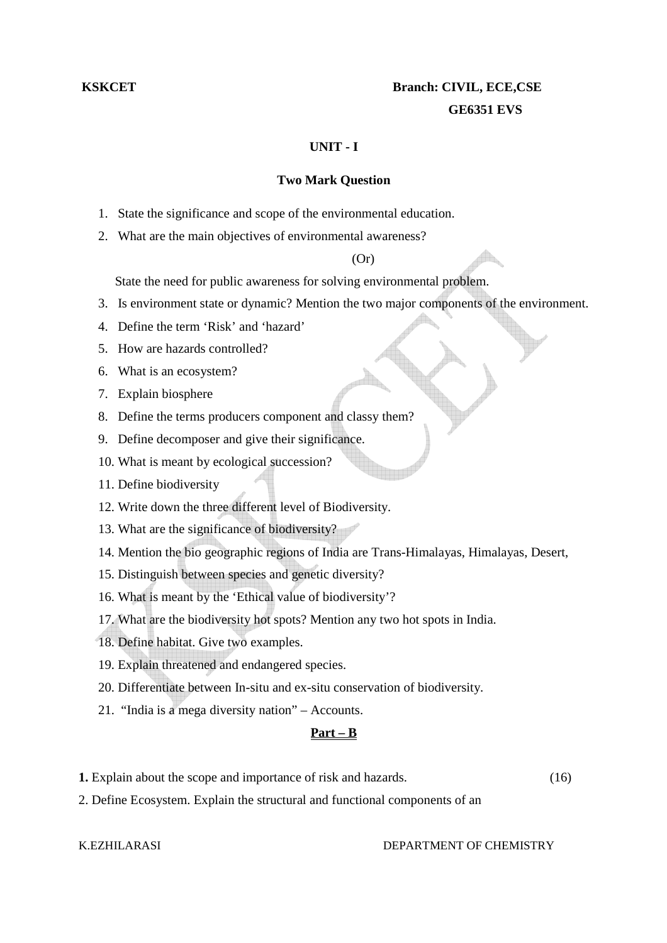## **EXECUTE:** Branch: CIVIL, ECE, CSE  **GE6351 EVS**

### **UNIT - I**

### **Two Mark Question**

- 1. State the significance and scope of the environmental education.
- 2. What are the main objectives of environmental awareness?

## (Or)

State the need for public awareness for solving environmental problem.

- 3. Is environment state or dynamic? Mention the two major components of the environment.
- 4. Define the term 'Risk' and 'hazard'
- 5. How are hazards controlled?
- 6. What is an ecosystem?
- 7. Explain biosphere
- 8. Define the terms producers component and classy them?
- 9. Define decomposer and give their significance.
- 10. What is meant by ecological succession?
- 11. Define biodiversity
- 12. Write down the three different level of Biodiversity.
- 13. What are the significance of biodiversity?
- 14. Mention the bio geographic regions of India are Trans-Himalayas, Himalayas, Desert,
- 15. Distinguish between species and genetic diversity?
- 16. What is meant by the 'Ethical value of biodiversity'?
- 17. What are the biodiversity hot spots? Mention any two hot spots in India.
- 18. Define habitat. Give two examples.
- 19. Explain threatened and endangered species.
- 20. Differentiate between In-situ and ex-situ conservation of biodiversity.
- 21. "India is a mega diversity nation" Accounts.

### **Part – B**

**1.** Explain about the scope and importance of risk and hazards. (16)

2. Define Ecosystem. Explain the structural and functional components of an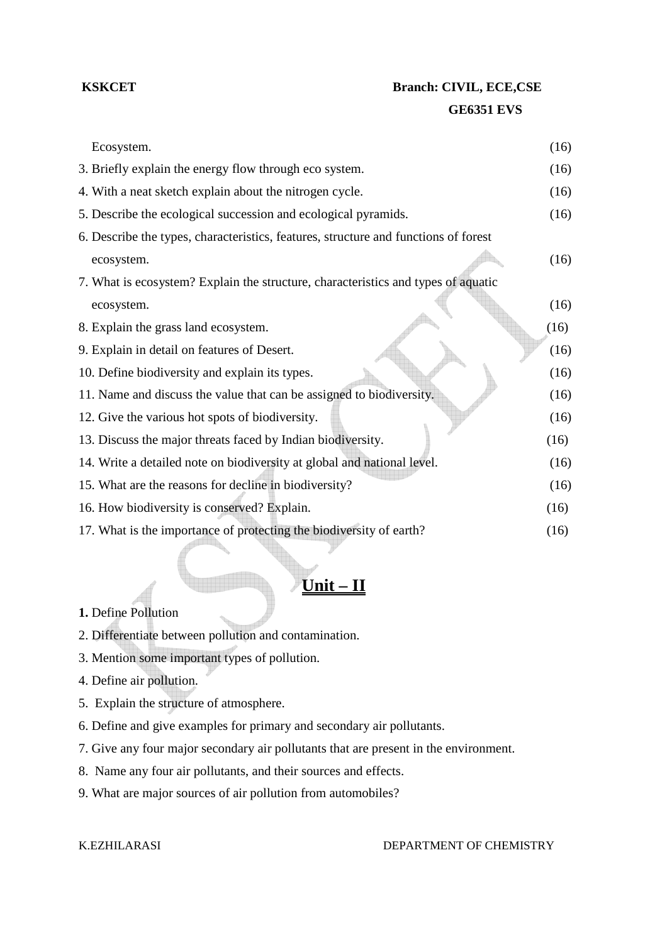# **EXSKCET** Branch: CIVIL, ECE, CSE  **GE6351 EVS**

| Ecosystem.                                                                          | (16) |
|-------------------------------------------------------------------------------------|------|
| 3. Briefly explain the energy flow through eco system.                              | (16) |
| 4. With a neat sketch explain about the nitrogen cycle.                             | (16) |
| 5. Describe the ecological succession and ecological pyramids.                      | (16) |
| 6. Describe the types, characteristics, features, structure and functions of forest |      |
| ecosystem.                                                                          | (16) |
| 7. What is ecosystem? Explain the structure, characteristics and types of aquatic   |      |
| ecosystem.                                                                          | (16) |
| 8. Explain the grass land ecosystem.                                                | (16) |
| 9. Explain in detail on features of Desert.                                         | (16) |
| 10. Define biodiversity and explain its types.                                      | (16) |
| 11. Name and discuss the value that can be assigned to biodiversity.                | (16) |
| 12. Give the various hot spots of biodiversity.                                     | (16) |
| 13. Discuss the major threats faced by Indian biodiversity.                         | (16) |
| 14. Write a detailed note on biodiversity at global and national level.             | (16) |
| 15. What are the reasons for decline in biodiversity?                               | (16) |
| 16. How biodiversity is conserved? Explain.                                         | (16) |
| 17. What is the importance of protecting the biodiversity of earth?                 | (16) |

# **Unit – II**

## **1.** Define Pollution

- 2. Differentiate between pollution and contamination.
- 3. Mention some important types of pollution.
- 4. Define air pollution.
- 5. Explain the structure of atmosphere.
- 6. Define and give examples for primary and secondary air pollutants.
- 7. Give any four major secondary air pollutants that are present in the environment.
- 8. Name any four air pollutants, and their sources and effects.
- 9. What are major sources of air pollution from automobiles?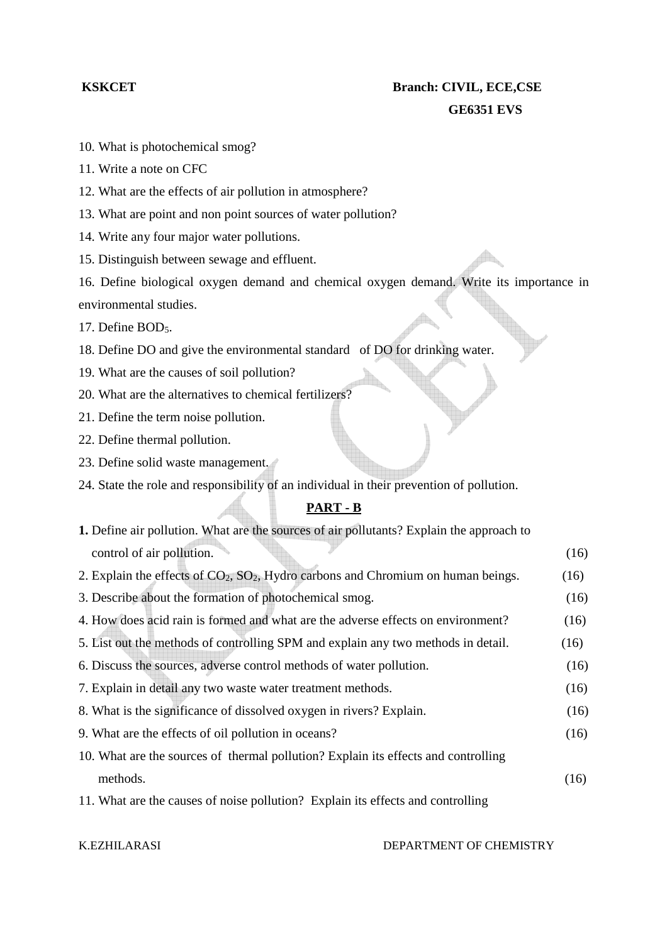- 10. What is photochemical smog?
- 11. Write a note on CFC
- 12. What are the effects of air pollution in atmosphere?
- 13. What are point and non point sources of water pollution?
- 14. Write any four major water pollutions.
- 15. Distinguish between sewage and effluent.

16. Define biological oxygen demand and chemical oxygen demand. Write its importance in environmental studies.

17. Define BOD<sub>5</sub>.

18. Define DO and give the environmental standard of DO for drinking water.

- 19. What are the causes of soil pollution?
- 20. What are the alternatives to chemical fertilizers?
- 21. Define the term noise pollution.
- 22. Define thermal pollution.
- 23. Define solid waste management.
- 24. State the role and responsibility of an individual in their prevention of pollution.

## **PART - B**

| 1. Define air pollution. What are the sources of air pollutants? Explain the approach to |      |
|------------------------------------------------------------------------------------------|------|
| control of air pollution.                                                                | (16) |
| 2. Explain the effects of $CO_2$ , $SO_2$ , Hydro carbons and Chromium on human beings.  | (16) |
| 3. Describe about the formation of photochemical smog.                                   | (16) |
| 4. How does acid rain is formed and what are the adverse effects on environment?         | (16) |
| 5. List out the methods of controlling SPM and explain any two methods in detail.        | (16) |
| 6. Discuss the sources, adverse control methods of water pollution.                      | (16) |
| 7. Explain in detail any two waste water treatment methods.                              | (16) |
| 8. What is the significance of dissolved oxygen in rivers? Explain.                      | (16) |
| 9. What are the effects of oil pollution in oceans?                                      | (16) |
| 10. What are the sources of thermal pollution? Explain its effects and controlling       |      |
| methods.                                                                                 | (16) |
| 11. What are the causes of noise pollution? Explain its effects and controlling          |      |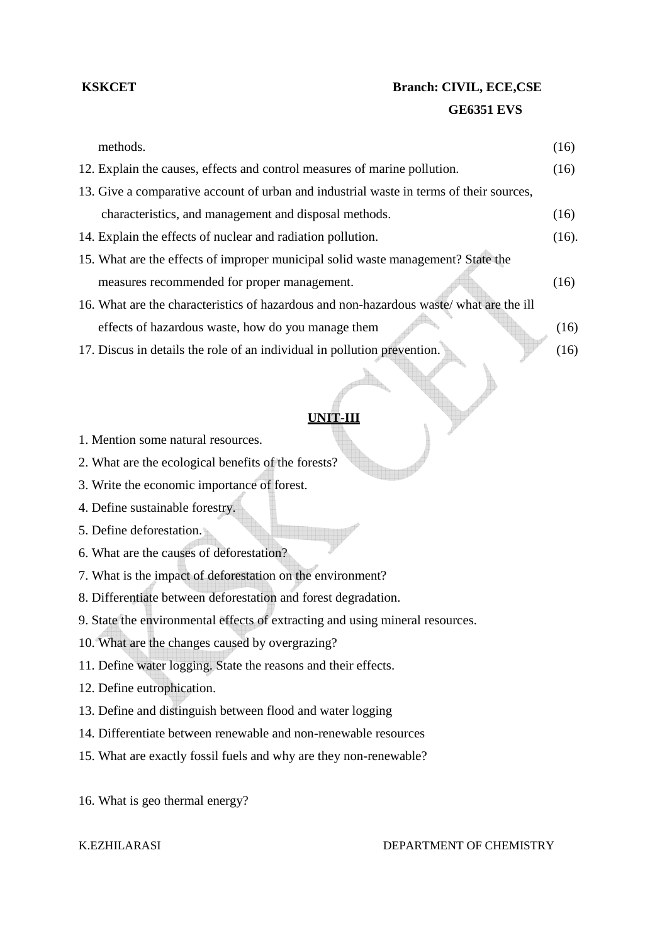# **EXECUTE:** Branch: CIVIL, ECE,CSE  **GE6351 EVS**

| methods.                                                                                | (16)  |
|-----------------------------------------------------------------------------------------|-------|
| 12. Explain the causes, effects and control measures of marine pollution.               | (16)  |
| 13. Give a comparative account of urban and industrial waste in terms of their sources, |       |
| characteristics, and management and disposal methods.                                   | (16)  |
| 14. Explain the effects of nuclear and radiation pollution.                             | (16). |
| 15. What are the effects of improper municipal solid waste management? State the        |       |
| measures recommended for proper management.                                             | (16)  |
| 16. What are the characteristics of hazardous and non-hazardous waste/ what are the ill |       |
| effects of hazardous waste, how do you manage them                                      | (16)  |
| 17. Discus in details the role of an individual in pollution prevention.                | (16)  |
|                                                                                         |       |

## **UNIT-III**

- 1. Mention some natural resources.
- 2. What are the ecological benefits of the forests?
- 3. Write the economic importance of forest.
- 4. Define sustainable forestry.

### 5. Define deforestation.

- 6. What are the causes of deforestation?
- 7. What is the impact of deforestation on the environment?
- 8. Differentiate between deforestation and forest degradation.
- 9. State the environmental effects of extracting and using mineral resources.
- 10. What are the changes caused by overgrazing?
- 11. Define water logging. State the reasons and their effects.
- 12. Define eutrophication.
- 13. Define and distinguish between flood and water logging
- 14. Differentiate between renewable and non-renewable resources
- 15. What are exactly fossil fuels and why are they non-renewable?
- 16. What is geo thermal energy?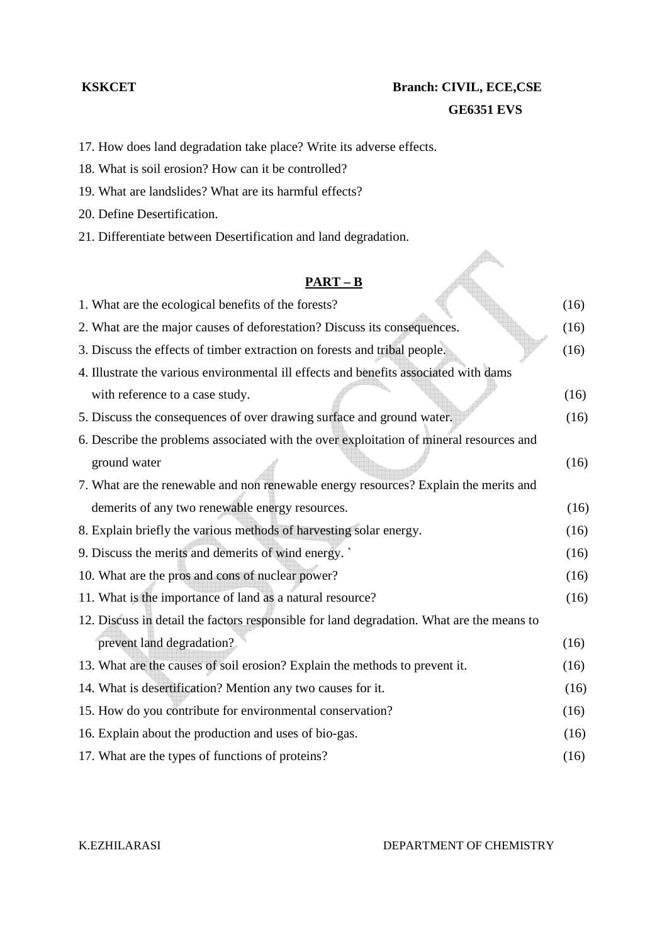# **EXECUTE:** Branch: CIVIL, ECE, CSE  **GE6351 EVS**

- 17. How does land degradation take place? Write its adverse effects.
- 18. What is soil erosion? How can it be controlled?
- 19. What are landslides? What are its harmful effects?
- 20. Define Desertification.
- 21. Differentiate between Desertification and land degradation.

## **PART – B**

| 1. What are the ecological benefits of the forests?                                       | (16) |
|-------------------------------------------------------------------------------------------|------|
| 2. What are the major causes of deforestation? Discuss its consequences.                  | (16) |
| 3. Discuss the effects of timber extraction on forests and tribal people.                 | (16) |
| 4. Illustrate the various environmental ill effects and benefits associated with dams     |      |
| with reference to a case study.                                                           | (16) |
| 5. Discuss the consequences of over drawing surface and ground water.                     | (16) |
| 6. Describe the problems associated with the over exploitation of mineral resources and   |      |
| ground water                                                                              | (16) |
| 7. What are the renewable and non renewable energy resources? Explain the merits and      |      |
| demerits of any two renewable energy resources.                                           | (16) |
| 8. Explain briefly the various methods of harvesting solar energy.                        | (16) |
| 9. Discuss the merits and demerits of wind energy.                                        | (16) |
| 10. What are the pros and cons of nuclear power?                                          | (16) |
| 11. What is the importance of land as a natural resource?                                 | (16) |
| 12. Discuss in detail the factors responsible for land degradation. What are the means to |      |
| prevent land degradation?                                                                 | (16) |
| 13. What are the causes of soil erosion? Explain the methods to prevent it.               | (16) |
| 14. What is desertification? Mention any two causes for it.                               | (16) |
| 15. How do you contribute for environmental conservation?                                 | (16) |
| 16. Explain about the production and uses of bio-gas.                                     | (16) |
| 17. What are the types of functions of proteins?                                          | (16) |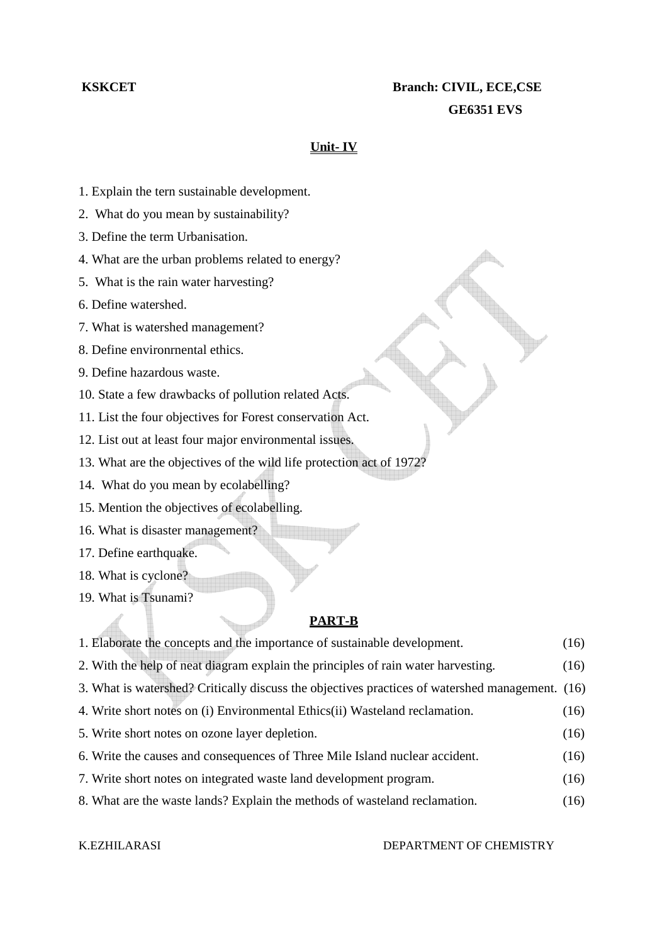# **EXECUTE:** Branch: CIVIL, ECE,CSE  **GE6351 EVS**

### **Unit- IV**

- 1. Explain the tern sustainable development.
- 2. What do you mean by sustainability?
- 3. Define the term Urbanisation.
- 4. What are the urban problems related to energy?
- 5. What is the rain water harvesting?
- 6. Define watershed.
- 7. What is watershed management?
- 8. Define environrnental ethics.
- 9. Define hazardous waste.
- 10. State a few drawbacks of pollution related Acts.
- 11. List the four objectives for Forest conservation Act.
- 12. List out at least four major environmental issues.
- 13. What are the objectives of the wild life protection act of 1972?
- 14. What do you mean by ecolabelling?
- 15. Mention the objectives of ecolabelling.
- 16. What is disaster management?
- 17. Define earthquake.
- 18. What is cyclone?
- 19. What is Tsunami?

### **PART-B**

| 1. Elaborate the concepts and the importance of sustainable development.                        | (16) |
|-------------------------------------------------------------------------------------------------|------|
| 2. With the help of neat diagram explain the principles of rain water harvesting.               | (16) |
| 3. What is watershed? Critically discuss the objectives practices of watershed management. (16) |      |
| 4. Write short notes on (i) Environmental Ethics (ii) Wasteland reclamation.                    | (16) |
| 5. Write short notes on ozone layer depletion.                                                  | (16) |
| 6. Write the causes and consequences of Three Mile Island nuclear accident.                     | (16) |
| 7. Write short notes on integrated waste land development program.                              | (16) |
| 8. What are the waste lands? Explain the methods of wasteland reclamation.                      | (16) |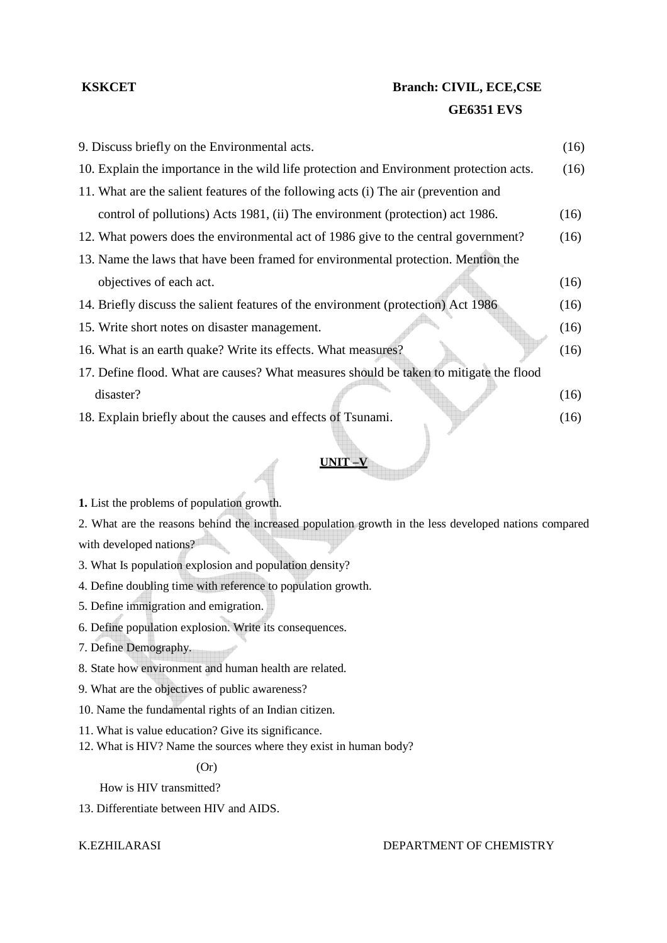## **EXECUTE:** Branch: CIVIL, ECE,CSE  **GE6351 EVS**

| 9. Discuss briefly on the Environmental acts.                                           | (16) |
|-----------------------------------------------------------------------------------------|------|
| 10. Explain the importance in the wild life protection and Environment protection acts. | (16) |
| 11. What are the salient features of the following acts (i) The air (prevention and     |      |
| control of pollutions) Acts 1981, (ii) The environment (protection) act 1986.           | (16) |
| 12. What powers does the environmental act of 1986 give to the central government?      | (16) |
| 13. Name the laws that have been framed for environmental protection. Mention the       |      |
| objectives of each act.                                                                 | (16) |
| 14. Briefly discuss the salient features of the environment (protection) Act 1986       | (16) |
| 15. Write short notes on disaster management.                                           | (16) |
| 16. What is an earth quake? Write its effects. What measures?                           | (16) |
| 17. Define flood. What are causes? What measures should be taken to mitigate the flood  |      |
| disaster?                                                                               | (16) |
| 18. Explain briefly about the causes and effects of Tsunami.                            | (16) |
|                                                                                         |      |

**1.** List the problems of population growth.

2. What are the reasons behind the increased population growth in the less developed nations compared with developed nations?

 **UNIT –V**

3. What Is population explosion and population density?

4. Define doubling time with reference to population growth.

5. Define immigration and emigration.

6. Define population explosion. Write its consequences.

7. Define Demography.

8. State how environment and human health are related.

9. What are the objectives of public awareness?

10. Name the fundamental rights of an Indian citizen.

11. What is value education? Give its significance.

12. What is HIV? Name the sources where they exist in human body?

 $(Or)$ 

How is HIV transmitted?

13. Differentiate between HIV and AIDS.